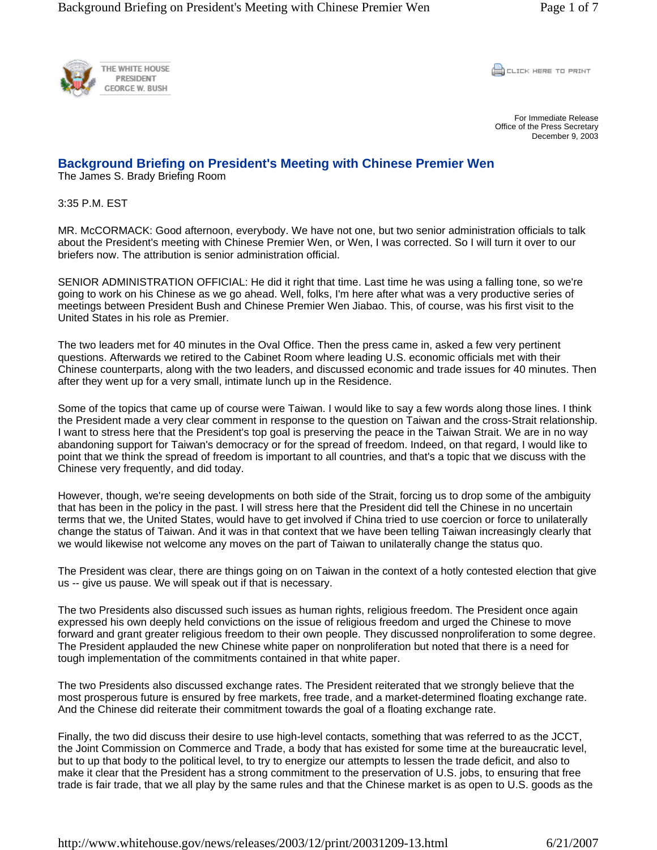

**CLICK HERE TO PRINT** 

For Immediate Release Office of the Press Secretary December 9, 2003

## **Background Briefing on President's Meeting with Chinese Premier Wen**

The James S. Brady Briefing Room

3:35 P.M. EST

MR. McCORMACK: Good afternoon, everybody. We have not one, but two senior administration officials to talk about the President's meeting with Chinese Premier Wen, or Wen, I was corrected. So I will turn it over to our briefers now. The attribution is senior administration official.

SENIOR ADMINISTRATION OFFICIAL: He did it right that time. Last time he was using a falling tone, so we're going to work on his Chinese as we go ahead. Well, folks, I'm here after what was a very productive series of meetings between President Bush and Chinese Premier Wen Jiabao. This, of course, was his first visit to the United States in his role as Premier.

The two leaders met for 40 minutes in the Oval Office. Then the press came in, asked a few very pertinent questions. Afterwards we retired to the Cabinet Room where leading U.S. economic officials met with their Chinese counterparts, along with the two leaders, and discussed economic and trade issues for 40 minutes. Then after they went up for a very small, intimate lunch up in the Residence.

Some of the topics that came up of course were Taiwan. I would like to say a few words along those lines. I think the President made a very clear comment in response to the question on Taiwan and the cross-Strait relationship. I want to stress here that the President's top goal is preserving the peace in the Taiwan Strait. We are in no way abandoning support for Taiwan's democracy or for the spread of freedom. Indeed, on that regard, I would like to point that we think the spread of freedom is important to all countries, and that's a topic that we discuss with the Chinese very frequently, and did today.

However, though, we're seeing developments on both side of the Strait, forcing us to drop some of the ambiguity that has been in the policy in the past. I will stress here that the President did tell the Chinese in no uncertain terms that we, the United States, would have to get involved if China tried to use coercion or force to unilaterally change the status of Taiwan. And it was in that context that we have been telling Taiwan increasingly clearly that we would likewise not welcome any moves on the part of Taiwan to unilaterally change the status quo.

The President was clear, there are things going on on Taiwan in the context of a hotly contested election that give us -- give us pause. We will speak out if that is necessary.

The two Presidents also discussed such issues as human rights, religious freedom. The President once again expressed his own deeply held convictions on the issue of religious freedom and urged the Chinese to move forward and grant greater religious freedom to their own people. They discussed nonproliferation to some degree. The President applauded the new Chinese white paper on nonproliferation but noted that there is a need for tough implementation of the commitments contained in that white paper.

The two Presidents also discussed exchange rates. The President reiterated that we strongly believe that the most prosperous future is ensured by free markets, free trade, and a market-determined floating exchange rate. And the Chinese did reiterate their commitment towards the goal of a floating exchange rate.

Finally, the two did discuss their desire to use high-level contacts, something that was referred to as the JCCT, the Joint Commission on Commerce and Trade, a body that has existed for some time at the bureaucratic level, but to up that body to the political level, to try to energize our attempts to lessen the trade deficit, and also to make it clear that the President has a strong commitment to the preservation of U.S. jobs, to ensuring that free trade is fair trade, that we all play by the same rules and that the Chinese market is as open to U.S. goods as the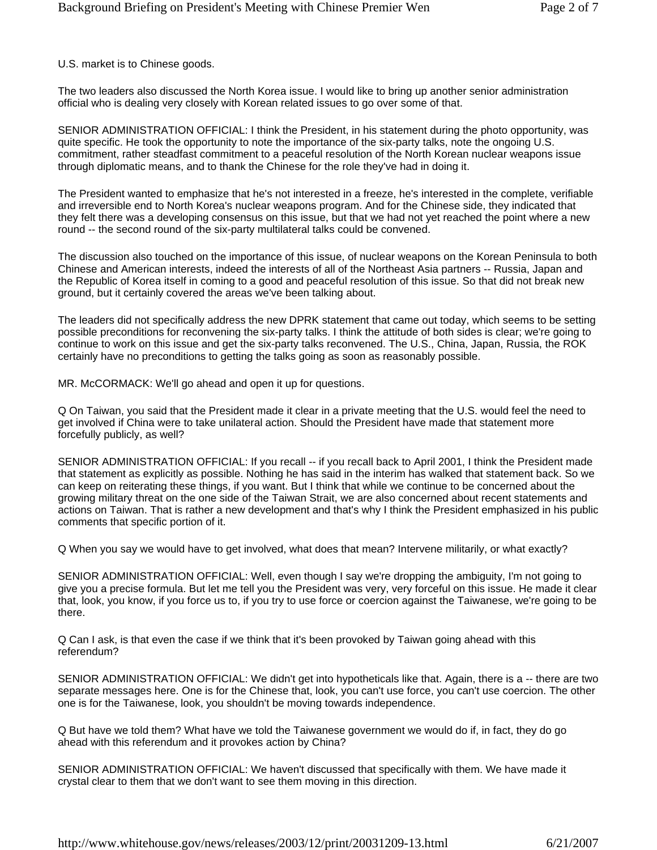U.S. market is to Chinese goods.

The two leaders also discussed the North Korea issue. I would like to bring up another senior administration official who is dealing very closely with Korean related issues to go over some of that.

SENIOR ADMINISTRATION OFFICIAL: I think the President, in his statement during the photo opportunity, was quite specific. He took the opportunity to note the importance of the six-party talks, note the ongoing U.S. commitment, rather steadfast commitment to a peaceful resolution of the North Korean nuclear weapons issue through diplomatic means, and to thank the Chinese for the role they've had in doing it.

The President wanted to emphasize that he's not interested in a freeze, he's interested in the complete, verifiable and irreversible end to North Korea's nuclear weapons program. And for the Chinese side, they indicated that they felt there was a developing consensus on this issue, but that we had not yet reached the point where a new round -- the second round of the six-party multilateral talks could be convened.

The discussion also touched on the importance of this issue, of nuclear weapons on the Korean Peninsula to both Chinese and American interests, indeed the interests of all of the Northeast Asia partners -- Russia, Japan and the Republic of Korea itself in coming to a good and peaceful resolution of this issue. So that did not break new ground, but it certainly covered the areas we've been talking about.

The leaders did not specifically address the new DPRK statement that came out today, which seems to be setting possible preconditions for reconvening the six-party talks. I think the attitude of both sides is clear; we're going to continue to work on this issue and get the six-party talks reconvened. The U.S., China, Japan, Russia, the ROK certainly have no preconditions to getting the talks going as soon as reasonably possible.

MR. McCORMACK: We'll go ahead and open it up for questions.

Q On Taiwan, you said that the President made it clear in a private meeting that the U.S. would feel the need to get involved if China were to take unilateral action. Should the President have made that statement more forcefully publicly, as well?

SENIOR ADMINISTRATION OFFICIAL: If you recall -- if you recall back to April 2001, I think the President made that statement as explicitly as possible. Nothing he has said in the interim has walked that statement back. So we can keep on reiterating these things, if you want. But I think that while we continue to be concerned about the growing military threat on the one side of the Taiwan Strait, we are also concerned about recent statements and actions on Taiwan. That is rather a new development and that's why I think the President emphasized in his public comments that specific portion of it.

Q When you say we would have to get involved, what does that mean? Intervene militarily, or what exactly?

SENIOR ADMINISTRATION OFFICIAL: Well, even though I say we're dropping the ambiguity, I'm not going to give you a precise formula. But let me tell you the President was very, very forceful on this issue. He made it clear that, look, you know, if you force us to, if you try to use force or coercion against the Taiwanese, we're going to be there.

Q Can I ask, is that even the case if we think that it's been provoked by Taiwan going ahead with this referendum?

SENIOR ADMINISTRATION OFFICIAL: We didn't get into hypotheticals like that. Again, there is a -- there are two separate messages here. One is for the Chinese that, look, you can't use force, you can't use coercion. The other one is for the Taiwanese, look, you shouldn't be moving towards independence.

Q But have we told them? What have we told the Taiwanese government we would do if, in fact, they do go ahead with this referendum and it provokes action by China?

SENIOR ADMINISTRATION OFFICIAL: We haven't discussed that specifically with them. We have made it crystal clear to them that we don't want to see them moving in this direction.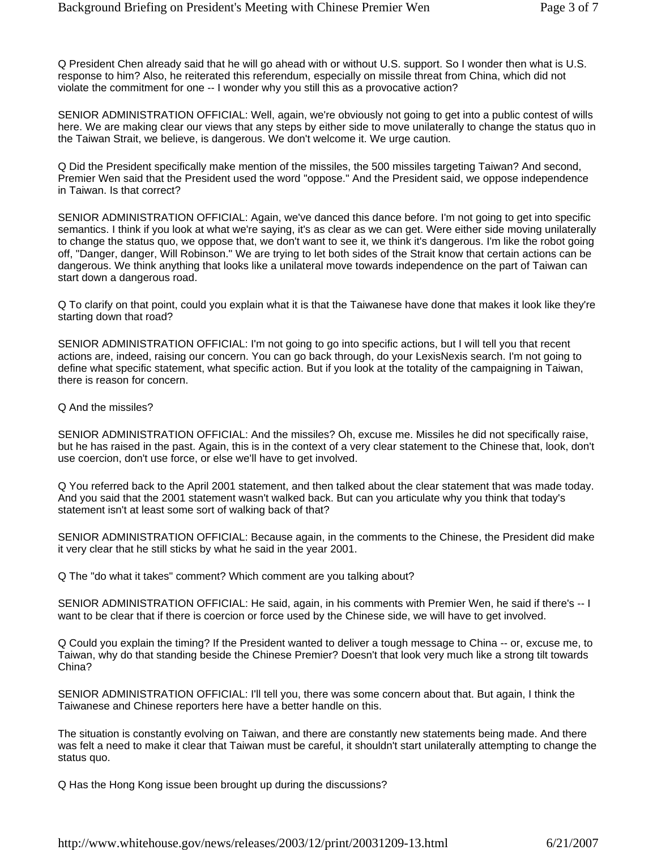Q President Chen already said that he will go ahead with or without U.S. support. So I wonder then what is U.S. response to him? Also, he reiterated this referendum, especially on missile threat from China, which did not violate the commitment for one -- I wonder why you still this as a provocative action?

SENIOR ADMINISTRATION OFFICIAL: Well, again, we're obviously not going to get into a public contest of wills here. We are making clear our views that any steps by either side to move unilaterally to change the status quo in the Taiwan Strait, we believe, is dangerous. We don't welcome it. We urge caution.

Q Did the President specifically make mention of the missiles, the 500 missiles targeting Taiwan? And second, Premier Wen said that the President used the word "oppose." And the President said, we oppose independence in Taiwan. Is that correct?

SENIOR ADMINISTRATION OFFICIAL: Again, we've danced this dance before. I'm not going to get into specific semantics. I think if you look at what we're saying, it's as clear as we can get. Were either side moving unilaterally to change the status quo, we oppose that, we don't want to see it, we think it's dangerous. I'm like the robot going off, "Danger, danger, Will Robinson." We are trying to let both sides of the Strait know that certain actions can be dangerous. We think anything that looks like a unilateral move towards independence on the part of Taiwan can start down a dangerous road.

Q To clarify on that point, could you explain what it is that the Taiwanese have done that makes it look like they're starting down that road?

SENIOR ADMINISTRATION OFFICIAL: I'm not going to go into specific actions, but I will tell you that recent actions are, indeed, raising our concern. You can go back through, do your LexisNexis search. I'm not going to define what specific statement, what specific action. But if you look at the totality of the campaigning in Taiwan, there is reason for concern.

Q And the missiles?

SENIOR ADMINISTRATION OFFICIAL: And the missiles? Oh, excuse me. Missiles he did not specifically raise, but he has raised in the past. Again, this is in the context of a very clear statement to the Chinese that, look, don't use coercion, don't use force, or else we'll have to get involved.

Q You referred back to the April 2001 statement, and then talked about the clear statement that was made today. And you said that the 2001 statement wasn't walked back. But can you articulate why you think that today's statement isn't at least some sort of walking back of that?

SENIOR ADMINISTRATION OFFICIAL: Because again, in the comments to the Chinese, the President did make it very clear that he still sticks by what he said in the year 2001.

Q The "do what it takes" comment? Which comment are you talking about?

SENIOR ADMINISTRATION OFFICIAL: He said, again, in his comments with Premier Wen, he said if there's -- I want to be clear that if there is coercion or force used by the Chinese side, we will have to get involved.

Q Could you explain the timing? If the President wanted to deliver a tough message to China -- or, excuse me, to Taiwan, why do that standing beside the Chinese Premier? Doesn't that look very much like a strong tilt towards China?

SENIOR ADMINISTRATION OFFICIAL: I'll tell you, there was some concern about that. But again, I think the Taiwanese and Chinese reporters here have a better handle on this.

The situation is constantly evolving on Taiwan, and there are constantly new statements being made. And there was felt a need to make it clear that Taiwan must be careful, it shouldn't start unilaterally attempting to change the status quo.

Q Has the Hong Kong issue been brought up during the discussions?

http://www.whitehouse.gov/news/releases/2003/12/print/20031209-13.html 6/21/2007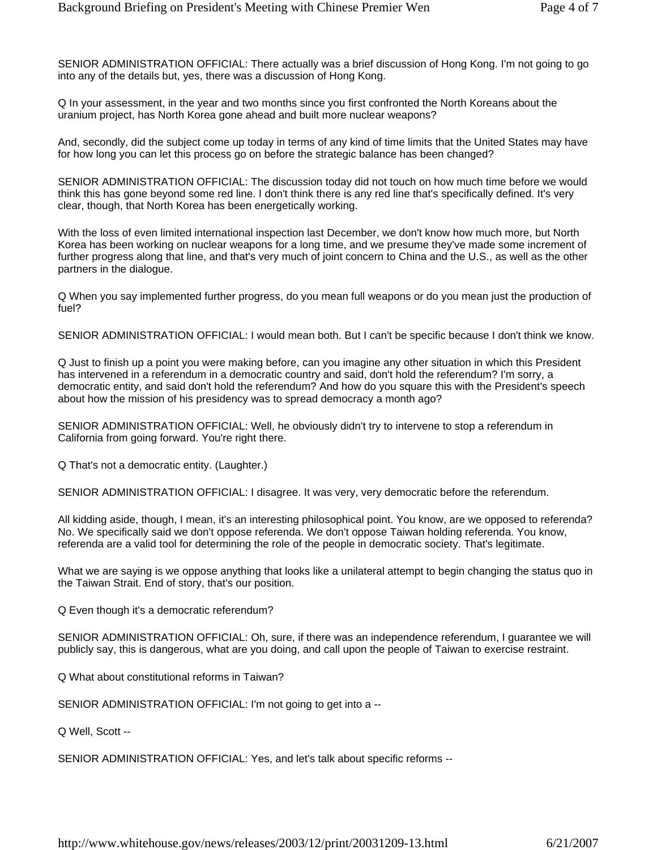SENIOR ADMINISTRATION OFFICIAL: There actually was a brief discussion of Hong Kong. I'm not going to go into any of the details but, yes, there was a discussion of Hong Kong.

Q In your assessment, in the year and two months since you first confronted the North Koreans about the uranium project, has North Korea gone ahead and built more nuclear weapons?

And, secondly, did the subject come up today in terms of any kind of time limits that the United States may have for how long you can let this process go on before the strategic balance has been changed?

SENIOR ADMINISTRATION OFFICIAL: The discussion today did not touch on how much time before we would think this has gone beyond some red line. I don't think there is any red line that's specifically defined. It's very clear, though, that North Korea has been energetically working.

With the loss of even limited international inspection last December, we don't know how much more, but North Korea has been working on nuclear weapons for a long time, and we presume they've made some increment of further progress along that line, and that's very much of joint concern to China and the U.S., as well as the other partners in the dialogue.

Q When you say implemented further progress, do you mean full weapons or do you mean just the production of fuel?

SENIOR ADMINISTRATION OFFICIAL: I would mean both. But I can't be specific because I don't think we know.

Q Just to finish up a point you were making before, can you imagine any other situation in which this President has intervened in a referendum in a democratic country and said, don't hold the referendum? I'm sorry, a democratic entity, and said don't hold the referendum? And how do you square this with the President's speech about how the mission of his presidency was to spread democracy a month ago?

SENIOR ADMINISTRATION OFFICIAL: Well, he obviously didn't try to intervene to stop a referendum in California from going forward. You're right there.

Q That's not a democratic entity. (Laughter.)

SENIOR ADMINISTRATION OFFICIAL: I disagree. It was very, very democratic before the referendum.

All kidding aside, though, I mean, it's an interesting philosophical point. You know, are we opposed to referenda? No. We specifically said we don't oppose referenda. We don't oppose Taiwan holding referenda. You know, referenda are a valid tool for determining the role of the people in democratic society. That's legitimate.

What we are saying is we oppose anything that looks like a unilateral attempt to begin changing the status quo in the Taiwan Strait. End of story, that's our position.

Q Even though it's a democratic referendum?

SENIOR ADMINISTRATION OFFICIAL: Oh, sure, if there was an independence referendum, I guarantee we will publicly say, this is dangerous, what are you doing, and call upon the people of Taiwan to exercise restraint.

Q What about constitutional reforms in Taiwan?

SENIOR ADMINISTRATION OFFICIAL: I'm not going to get into a --

Q Well, Scott --

SENIOR ADMINISTRATION OFFICIAL: Yes, and let's talk about specific reforms --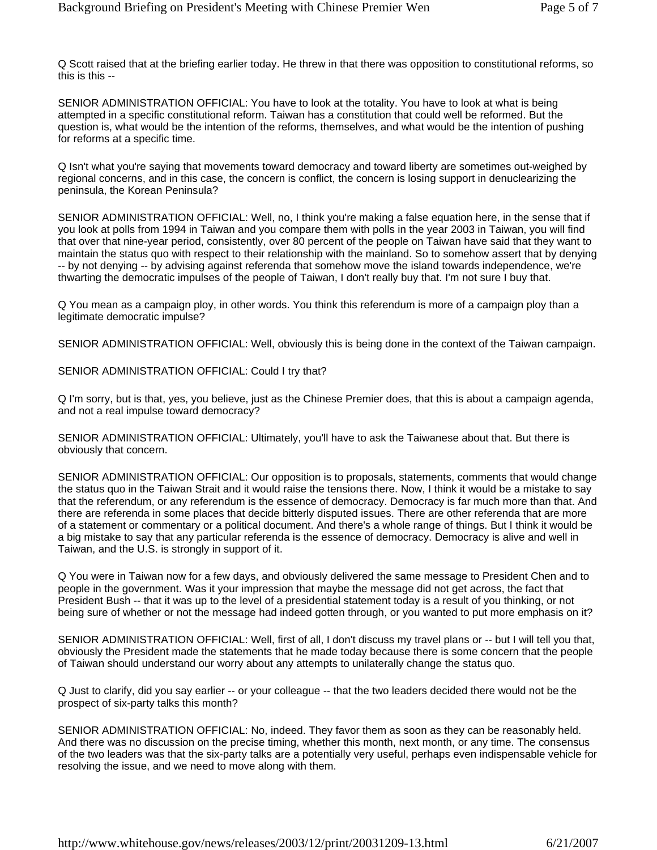Q Scott raised that at the briefing earlier today. He threw in that there was opposition to constitutional reforms, so this is this --

SENIOR ADMINISTRATION OFFICIAL: You have to look at the totality. You have to look at what is being attempted in a specific constitutional reform. Taiwan has a constitution that could well be reformed. But the question is, what would be the intention of the reforms, themselves, and what would be the intention of pushing for reforms at a specific time.

Q Isn't what you're saying that movements toward democracy and toward liberty are sometimes out-weighed by regional concerns, and in this case, the concern is conflict, the concern is losing support in denuclearizing the peninsula, the Korean Peninsula?

SENIOR ADMINISTRATION OFFICIAL: Well, no, I think you're making a false equation here, in the sense that if you look at polls from 1994 in Taiwan and you compare them with polls in the year 2003 in Taiwan, you will find that over that nine-year period, consistently, over 80 percent of the people on Taiwan have said that they want to maintain the status quo with respect to their relationship with the mainland. So to somehow assert that by denying -- by not denying -- by advising against referenda that somehow move the island towards independence, we're thwarting the democratic impulses of the people of Taiwan, I don't really buy that. I'm not sure I buy that.

Q You mean as a campaign ploy, in other words. You think this referendum is more of a campaign ploy than a legitimate democratic impulse?

SENIOR ADMINISTRATION OFFICIAL: Well, obviously this is being done in the context of the Taiwan campaign.

SENIOR ADMINISTRATION OFFICIAL: Could I try that?

Q I'm sorry, but is that, yes, you believe, just as the Chinese Premier does, that this is about a campaign agenda, and not a real impulse toward democracy?

SENIOR ADMINISTRATION OFFICIAL: Ultimately, you'll have to ask the Taiwanese about that. But there is obviously that concern.

SENIOR ADMINISTRATION OFFICIAL: Our opposition is to proposals, statements, comments that would change the status quo in the Taiwan Strait and it would raise the tensions there. Now, I think it would be a mistake to say that the referendum, or any referendum is the essence of democracy. Democracy is far much more than that. And there are referenda in some places that decide bitterly disputed issues. There are other referenda that are more of a statement or commentary or a political document. And there's a whole range of things. But I think it would be a big mistake to say that any particular referenda is the essence of democracy. Democracy is alive and well in Taiwan, and the U.S. is strongly in support of it.

Q You were in Taiwan now for a few days, and obviously delivered the same message to President Chen and to people in the government. Was it your impression that maybe the message did not get across, the fact that President Bush -- that it was up to the level of a presidential statement today is a result of you thinking, or not being sure of whether or not the message had indeed gotten through, or you wanted to put more emphasis on it?

SENIOR ADMINISTRATION OFFICIAL: Well, first of all, I don't discuss my travel plans or -- but I will tell you that, obviously the President made the statements that he made today because there is some concern that the people of Taiwan should understand our worry about any attempts to unilaterally change the status quo.

Q Just to clarify, did you say earlier -- or your colleague -- that the two leaders decided there would not be the prospect of six-party talks this month?

SENIOR ADMINISTRATION OFFICIAL: No, indeed. They favor them as soon as they can be reasonably held. And there was no discussion on the precise timing, whether this month, next month, or any time. The consensus of the two leaders was that the six-party talks are a potentially very useful, perhaps even indispensable vehicle for resolving the issue, and we need to move along with them.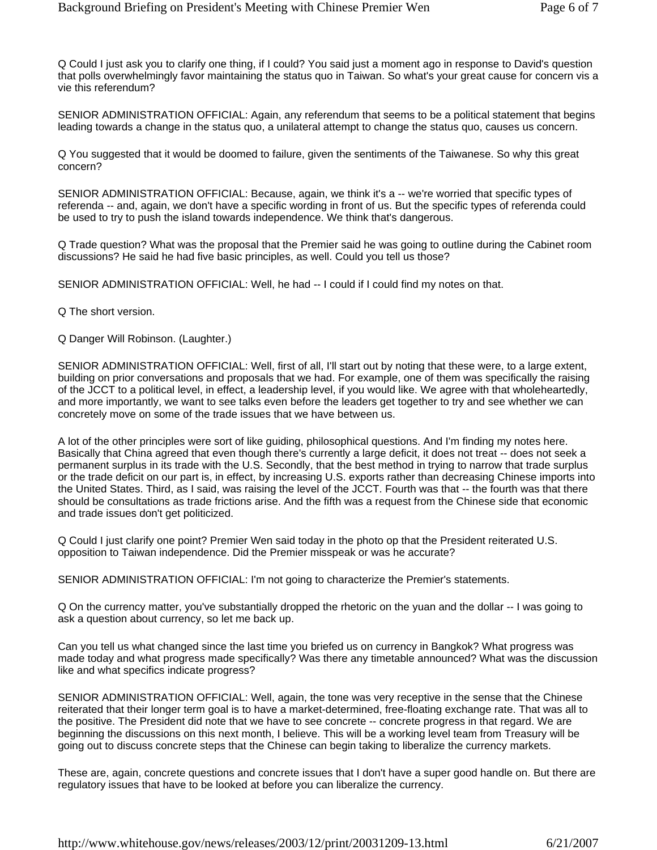Q Could I just ask you to clarify one thing, if I could? You said just a moment ago in response to David's question that polls overwhelmingly favor maintaining the status quo in Taiwan. So what's your great cause for concern vis a vie this referendum?

SENIOR ADMINISTRATION OFFICIAL: Again, any referendum that seems to be a political statement that begins leading towards a change in the status quo, a unilateral attempt to change the status quo, causes us concern.

Q You suggested that it would be doomed to failure, given the sentiments of the Taiwanese. So why this great concern?

SENIOR ADMINISTRATION OFFICIAL: Because, again, we think it's a -- we're worried that specific types of referenda -- and, again, we don't have a specific wording in front of us. But the specific types of referenda could be used to try to push the island towards independence. We think that's dangerous.

Q Trade question? What was the proposal that the Premier said he was going to outline during the Cabinet room discussions? He said he had five basic principles, as well. Could you tell us those?

SENIOR ADMINISTRATION OFFICIAL: Well, he had -- I could if I could find my notes on that.

Q The short version.

Q Danger Will Robinson. (Laughter.)

SENIOR ADMINISTRATION OFFICIAL: Well, first of all, I'll start out by noting that these were, to a large extent, building on prior conversations and proposals that we had. For example, one of them was specifically the raising of the JCCT to a political level, in effect, a leadership level, if you would like. We agree with that wholeheartedly, and more importantly, we want to see talks even before the leaders get together to try and see whether we can concretely move on some of the trade issues that we have between us.

A lot of the other principles were sort of like guiding, philosophical questions. And I'm finding my notes here. Basically that China agreed that even though there's currently a large deficit, it does not treat -- does not seek a permanent surplus in its trade with the U.S. Secondly, that the best method in trying to narrow that trade surplus or the trade deficit on our part is, in effect, by increasing U.S. exports rather than decreasing Chinese imports into the United States. Third, as I said, was raising the level of the JCCT. Fourth was that -- the fourth was that there should be consultations as trade frictions arise. And the fifth was a request from the Chinese side that economic and trade issues don't get politicized.

Q Could I just clarify one point? Premier Wen said today in the photo op that the President reiterated U.S. opposition to Taiwan independence. Did the Premier misspeak or was he accurate?

SENIOR ADMINISTRATION OFFICIAL: I'm not going to characterize the Premier's statements.

Q On the currency matter, you've substantially dropped the rhetoric on the yuan and the dollar -- I was going to ask a question about currency, so let me back up.

Can you tell us what changed since the last time you briefed us on currency in Bangkok? What progress was made today and what progress made specifically? Was there any timetable announced? What was the discussion like and what specifics indicate progress?

SENIOR ADMINISTRATION OFFICIAL: Well, again, the tone was very receptive in the sense that the Chinese reiterated that their longer term goal is to have a market-determined, free-floating exchange rate. That was all to the positive. The President did note that we have to see concrete -- concrete progress in that regard. We are beginning the discussions on this next month, I believe. This will be a working level team from Treasury will be going out to discuss concrete steps that the Chinese can begin taking to liberalize the currency markets.

These are, again, concrete questions and concrete issues that I don't have a super good handle on. But there are regulatory issues that have to be looked at before you can liberalize the currency.